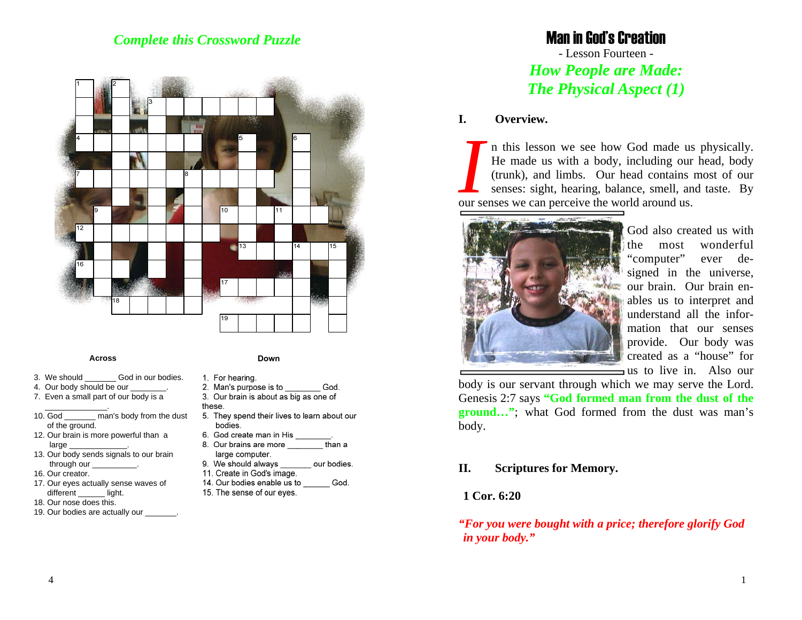# *Complete this Crossword Puzzle*



#### **Across**

- 3. We should God in our bodies.
- 4. Our body should be our
- 7. Even a small part of our body is a
- 10. God \_\_\_\_\_\_\_ man's body from the dust of the ground.
- 12. Our brain is more powerful than a large
- 13. Our body sends signals to our brain through our
- 16. Our creator.

\_\_\_\_\_\_\_\_\_\_\_\_\_\_.

- 17. Our eyes actually sense waves of different \_\_\_\_\_\_ light.
- 18. Our nose does this.
- 19. Our bodies are actually our \_\_\_\_\_

#### Down

- 1. For hearing.
- 2. Man's purpose is to God.
- 3. Our brain is about as big as one of these.
- 5. They spend their lives to learn about our bodies.
- 6. God create man in His
- 8. Our brains are more than a large computer.
- 9. We should always our bodies.
- 11. Create in God's image.
- 14. Our bodies enable us to God. 15. The sense of our eyes.

# Man in God's Creation

- Lesson Fourteen - *How People are Made: The Physical Aspect (1)*

### **I. Overview.**

*I* n this lesson we see how God made us physically. He made us with a body, including our head, body (trunk), and limbs. Our head contains most of our senses: sight, hearing, balance, smell, and taste. By our senses we can perceive the world around us.



God also created us with the most wonderful "computer" ever designed in the universe, our brain. Our brain enables us to interpret and understand all the information that our senses provide. Our body was created as a "house" for us to live in. Also our

body is our servant through which we may serve the Lord. Genesis 2:7 says **"God formed man from the dust of the ground…"**; what God formed from the dust was man's body.

# **II. Scriptures for Memory.**

# **1 Cor. 6:20**

*"For you were bought with a price; therefore glorify God in your body."*